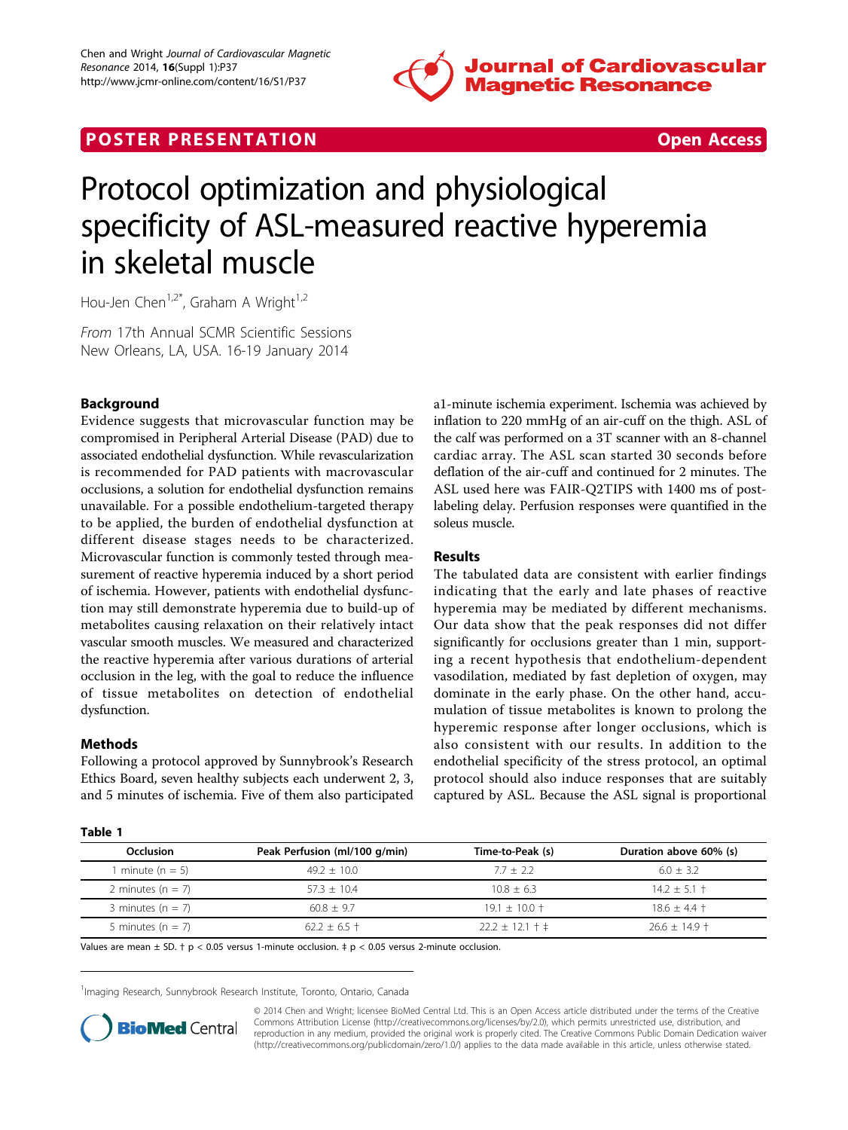

## **POSTER PRESENTATION CONSUMING THE SECOND CONSUMING THE SECOND CONSUMING THE SECOND CONSUMING THE SECOND CONSUMING THE SECOND CONSUMING THE SECOND CONSUMING THE SECOND CONSUMING THE SECOND CONSUMING THE SECOND CONSUMING**



# Protocol optimization and physiological specificity of ASL-measured reactive hyperemia in skeletal muscle

Hou-Jen Chen<sup>1,2\*</sup>, Graham A Wright<sup>1,2</sup>

From 17th Annual SCMR Scientific Sessions New Orleans, LA, USA. 16-19 January 2014

### Background

Evidence suggests that microvascular function may be compromised in Peripheral Arterial Disease (PAD) due to associated endothelial dysfunction. While revascularization is recommended for PAD patients with macrovascular occlusions, a solution for endothelial dysfunction remains unavailable. For a possible endothelium-targeted therapy to be applied, the burden of endothelial dysfunction at different disease stages needs to be characterized. Microvascular function is commonly tested through measurement of reactive hyperemia induced by a short period of ischemia. However, patients with endothelial dysfunction may still demonstrate hyperemia due to build-up of metabolites causing relaxation on their relatively intact vascular smooth muscles. We measured and characterized the reactive hyperemia after various durations of arterial occlusion in the leg, with the goal to reduce the influence of tissue metabolites on detection of endothelial dysfunction.

#### Methods

Following a protocol approved by Sunnybrook's Research Ethics Board, seven healthy subjects each underwent 2, 3, and 5 minutes of ischemia. Five of them also participated

| . .<br>$\sim$<br>$\sim$<br>v |
|------------------------------|
|------------------------------|

a1-minute ischemia experiment. Ischemia was achieved by inflation to 220 mmHg of an air-cuff on the thigh. ASL of the calf was performed on a 3T scanner with an 8-channel cardiac array. The ASL scan started 30 seconds before deflation of the air-cuff and continued for 2 minutes. The ASL used here was FAIR-Q2TIPS with 1400 ms of postlabeling delay. Perfusion responses were quantified in the soleus muscle.

#### Results

The tabulated data are consistent with earlier findings indicating that the early and late phases of reactive hyperemia may be mediated by different mechanisms. Our data show that the peak responses did not differ significantly for occlusions greater than 1 min, supporting a recent hypothesis that endothelium-dependent vasodilation, mediated by fast depletion of oxygen, may dominate in the early phase. On the other hand, accumulation of tissue metabolites is known to prolong the hyperemic response after longer occlusions, which is also consistent with our results. In addition to the endothelial specificity of the stress protocol, an optimal protocol should also induce responses that are suitably captured by ASL. Because the ASL signal is proportional

| Occlusion             | Peak Perfusion (ml/100 g/min) | Time-to-Peak (s)      | Duration above 60% (s) |
|-----------------------|-------------------------------|-----------------------|------------------------|
| minute ( $n = 5$ )    | $49.2 + 10.0$                 | $77 + 22$             | $60 + 32$              |
| 2 minutes ( $n = 7$ ) | $573 + 104$                   | $108 + 63$            | $14.2 + 5.1 +$         |
| 3 minutes ( $n = 7$ ) | $60.8 + 9.7$                  | $19.1 + 10.0 +$       | $18.6 + 4.4 +$         |
| 5 minutes $(n = 7)$   | $62.2 + 6.5 +$                | $22.2 \pm 12.1 \pm 1$ | $26.6 + 14.9 +$        |

Values are mean  $\pm$  SD.  $\uparrow$  p < 0.05 versus 1-minute occlusion.  $\uparrow$  p < 0.05 versus 2-minute occlusion.

<sup>1</sup>Imaging Research, Sunnybrook Research Institute, Toronto, Ontario, Canada



© 2014 Chen and Wright; licensee BioMed Central Ltd. This is an Open Access article distributed under the terms of the Creative Commons Attribution License [\(http://creativecommons.org/licenses/by/2.0](http://creativecommons.org/licenses/by/2.0)), which permits unrestricted use, distribution, and reproduction in any medium, provided the original work is properly cited. The Creative Commons Public Domain Dedication waiver [\(http://creativecommons.org/publicdomain/zero/1.0/](http://creativecommons.org/publicdomain/zero/1.0/)) applies to the data made available in this article, unless otherwise stated.